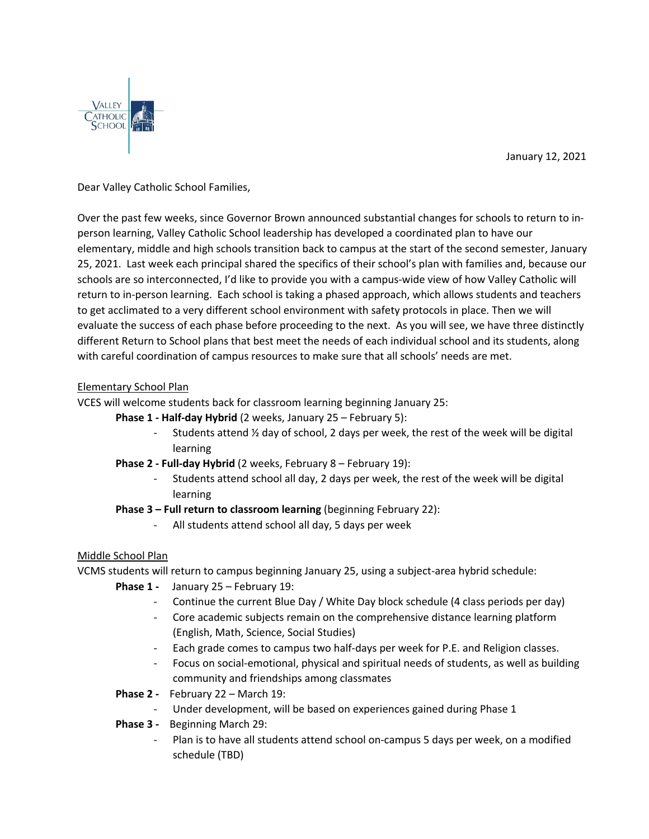January 12, 2021



Dear Valley Catholic School Families,

Over the past few weeks, since Governor Brown announced substantial changes for schools to return to inperson learning, Valley Catholic School leadership has developed a coordinated plan to have our elementary, middle and high schools transition back to campus at the start of the second semester, January 25, 2021. Last week each principal shared the specifics of their school's plan with families and, because our schools are so interconnected, I'd like to provide you with a campus-wide view of how Valley Catholic will return to in-person learning. Each school is taking a phased approach, which allows students and teachers to get acclimated to a very different school environment with safety protocols in place. Then we will evaluate the success of each phase before proceeding to the next. As you will see, we have three distinctly different Return to School plans that best meet the needs of each individual school and its students, along with careful coordination of campus resources to make sure that all schools' needs are met.

## Elementary School Plan

VCES will welcome students back for classroom learning beginning January 25:

- **Phase 1 - Half-day Hybrid** (2 weeks, January 25 February 5):
	- Students attend  $\frac{1}{2}$  day of school, 2 days per week, the rest of the week will be digital learning
- **Phase 2 - Full-day Hybrid** (2 weeks, February 8 February 19):
	- Students attend school all day, 2 days per week, the rest of the week will be digital learning

## **Phase 3 – Full return to classroom learning** (beginning February 22):

All students attend school all day, 5 days per week

## Middle School Plan

VCMS students will return to campus beginning January 25, using a subject-area hybrid schedule:

- **Phase 1** January 25 February 19:
	- Continue the current Blue Day / White Day block schedule (4 class periods per day)
	- Core academic subjects remain on the comprehensive distance learning platform (English, Math, Science, Social Studies)
	- Each grade comes to campus two half-days per week for P.E. and Religion classes.
	- Focus on social-emotional, physical and spiritual needs of students, as well as building community and friendships among classmates
- **Phase 2** February 22 March 19:
	- Under development, will be based on experiences gained during Phase 1
- **Phase 3** Beginning March 29:
	- Plan is to have all students attend school on-campus 5 days per week, on a modified schedule (TBD)